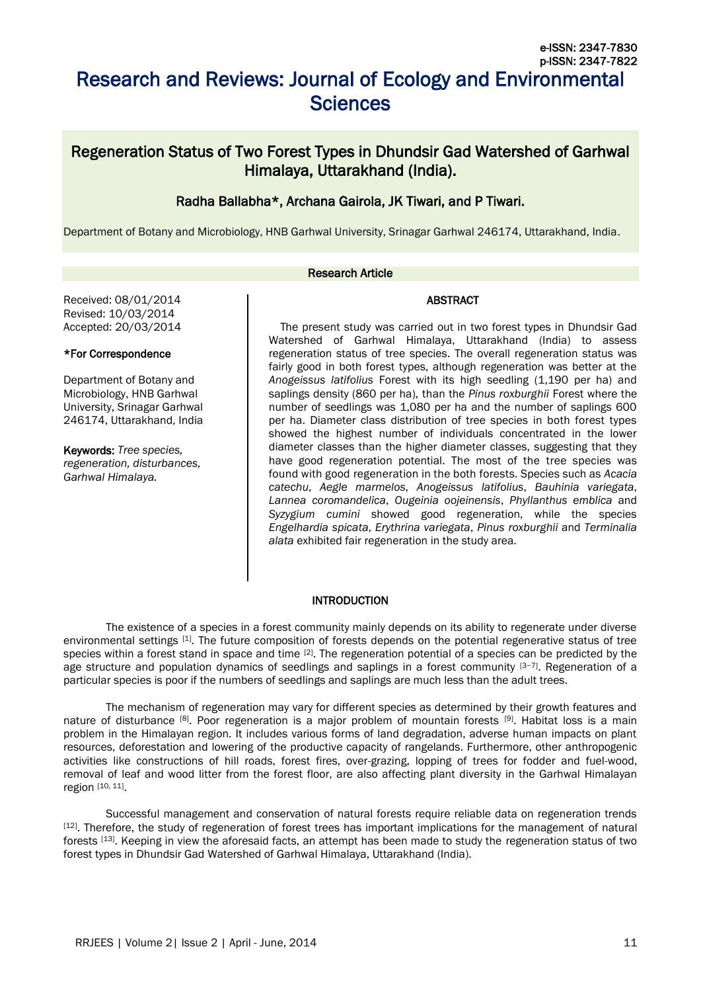# Research and Reviews: Journal of Ecology and Environmental **Sciences**

# Regeneration Status of Two Forest Types in Dhundsir Gad Watershed of Garhwal Himalaya, Uttarakhand (India).

# Radha Ballabha\*, Archana Gairola, JK Tiwari, and P Tiwari.

Department of Botany and Microbiology, HNB Garhwal University, Srinagar Garhwal 246174, Uttarakhand, India.

#### Research Article

#### ABSTRACT

Received: 08/01/2014 Revised: 10/03/2014 Accepted: 20/03/2014

#### \*For Correspondence

Department of Botany and Microbiology, HNB Garhwal University, Srinagar Garhwal 246174, Uttarakhand, India

Keywords: *Tree species, regeneration, disturbances, Garhwal Himalaya.*

The present study was carried out in two forest types in Dhundsir Gad Watershed of Garhwal Himalaya, Uttarakhand (India) to assess regeneration status of tree species. The overall regeneration status was fairly good in both forest types, although regeneration was better at the *Anogeissus latifolius* Forest with its high seedling (1,190 per ha) and saplings density (860 per ha), than the *Pinus roxburghii* Forest where the number of seedlings was 1,080 per ha and the number of saplings 600 per ha. Diameter class distribution of tree species in both forest types showed the highest number of individuals concentrated in the lower diameter classes than the higher diameter classes, suggesting that they have good regeneration potential. The most of the tree species was found with good regeneration in the both forests. Species such as *Acacia catechu*, *Aegle marmelos*, *Anogeissus latifolius*, *Bauhinia variegata*, *Lannea coromandelica*, *Ougeinia oojeinensis*, *Phyllanthus emblica* and *Syzygium cumini* showed good regeneration, while the species *Engelhardia spicata*, *Erythrina variegata*, *Pinus roxburghii* and *Terminalia alata* exhibited fair regeneration in the study area.

# **INTRODUCTION**

The existence of a species in a forest community mainly depends on its ability to regenerate under diverse environmental settings [1]. The future composition of forests depends on the potential regenerative status of tree species within a forest stand in space and time  $[2]$ . The regeneration potential of a species can be predicted by the age structure and population dynamics of seedlings and saplings in a forest community [3−7]. Regeneration of a particular species is poor if the numbers of seedlings and saplings are much less than the adult trees.

The mechanism of regeneration may vary for different species as determined by their growth features and nature of disturbance [8]. Poor regeneration is a major problem of mountain forests [9]. Habitat loss is a main problem in the Himalayan region. It includes various forms of land degradation, adverse human impacts on plant resources, deforestation and lowering of the productive capacity of rangelands. Furthermore, other anthropogenic activities like constructions of hill roads, forest fires, over-grazing, lopping of trees for fodder and fuel-wood, removal of leaf and wood litter from the forest floor, are also affecting plant diversity in the Garhwal Himalayan region [10, 11].

Successful management and conservation of natural forests require reliable data on regeneration trends [12]. Therefore, the study of regeneration of forest trees has important implications for the management of natural forests [13]. Keeping in view the aforesaid facts, an attempt has been made to study the regeneration status of two forest types in Dhundsir Gad Watershed of Garhwal Himalaya, Uttarakhand (India).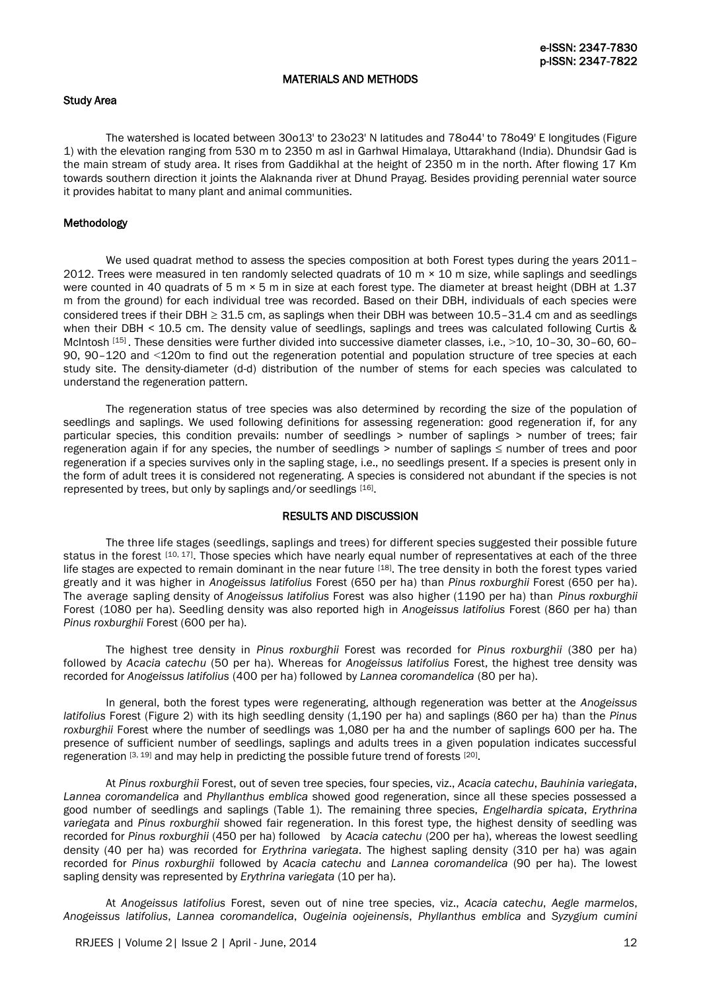#### MATERIALS AND METHODS

#### Study Area

The watershed is located between 30o13' to 23o23' N latitudes and 78o44' to 78o49' E longitudes (Figure 1) with the elevation ranging from 530 m to 2350 m asl in Garhwal Himalaya, Uttarakhand (India). Dhundsir Gad is the main stream of study area. It rises from Gaddikhal at the height of 2350 m in the north. After flowing 17 Km towards southern direction it joints the Alaknanda river at Dhund Prayag. Besides providing perennial water source it provides habitat to many plant and animal communities.

#### Methodology

We used quadrat method to assess the species composition at both Forest types during the years 2011-2012. Trees were measured in ten randomly selected quadrats of 10  $\text{m} \times 10$  m size, while saplings and seedlings were counted in 40 quadrats of 5 m  $\times$  5 m in size at each forest type. The diameter at breast height (DBH at 1.37 m from the ground) for each individual tree was recorded. Based on their DBH, individuals of each species were considered trees if their DBH  $\geq$  31.5 cm, as saplings when their DBH was between 10.5–31.4 cm and as seedlings when their DBH < 10.5 cm. The density value of seedlings, saplings and trees was calculated following Curtis & McIntosh [15]. These densities were further divided into successive diameter classes, i.e., >10, 10-30, 30-60, 60-90, 90–120 and ˂120m to find out the regeneration potential and population structure of tree species at each study site. The density-diameter (d-d) distribution of the number of stems for each species was calculated to understand the regeneration pattern.

The regeneration status of tree species was also determined by recording the size of the population of seedlings and saplings. We used following definitions for assessing regeneration: good regeneration if, for any particular species, this condition prevails: number of seedlings > number of saplings > number of trees; fair regeneration again if for any species, the number of seedlings > number of saplings ≤ number of trees and poor regeneration if a species survives only in the sapling stage, i.e., no seedlings present. If a species is present only in the form of adult trees it is considered not regenerating. A species is considered not abundant if the species is not represented by trees, but only by saplings and/or seedlings [16].

#### RESULTS AND DISCUSSION

The three life stages (seedlings, saplings and trees) for different species suggested their possible future status in the forest [10, 17]. Those species which have nearly equal number of representatives at each of the three life stages are expected to remain dominant in the near future [18]. The tree density in both the forest types varied greatly and it was higher in *Anogeissus latifolius* Forest (650 per ha) than *Pinus roxburghii* Forest (650 per ha). The average sapling density of *Anogeissus latifolius* Forest was also higher (1190 per ha) than *Pinus roxburghii*  Forest (1080 per ha). Seedling density was also reported high in *Anogeissus latifolius* Forest (860 per ha) than *Pinus roxburghii* Forest (600 per ha).

The highest tree density in *Pinus roxburghii* Forest was recorded for *Pinus roxburghii* (380 per ha) followed by *Acacia catechu* (50 per ha). Whereas for *Anogeissus latifolius* Forest, the highest tree density was recorded for *Anogeissus latifolius* (400 per ha) followed by *Lannea coromandelica* (80 per ha).

In general, both the forest types were regenerating, although regeneration was better at the *Anogeissus latifolius* Forest (Figure 2) with its high seedling density (1,190 per ha) and saplings (860 per ha) than the *Pinus roxburghii* Forest where the number of seedlings was 1,080 per ha and the number of saplings 600 per ha. The presence of sufficient number of seedlings, saplings and adults trees in a given population indicates successful regeneration [3, 19] and may help in predicting the possible future trend of forests [20].

At *Pinus roxburghii* Forest, out of seven tree species, four species, viz., *Acacia catechu*, *Bauhinia variegata*, *Lannea coromandelica* and *Phyllanthus emblica* showed good regeneration, since all these species possessed a good number of seedlings and saplings (Table 1). The remaining three species, *Engelhardia spicata*, *Erythrina variegata* and *Pinus roxburghii* showed fair regeneration. In this forest type, the highest density of seedling was recorded for *Pinus roxburghii* (450 per ha) followed by *Acacia catechu* (200 per ha), whereas the lowest seedling density (40 per ha) was recorded for *Erythrina variegata*. The highest sapling density (310 per ha) was again recorded for *Pinus roxburghii* followed by *Acacia catechu* and *Lannea coromandelica* (90 per ha). The lowest sapling density was represented by *Erythrina variegata* (10 per ha).

At *Anogeissus latifolius* Forest, seven out of nine tree species, viz., *Acacia catechu*, *Aegle marmelos*, *Anogeissus latifolius*, *Lannea coromandelica*, *Ougeinia oojeinensis*, *Phyllanthus emblica* and *Syzygium cumini*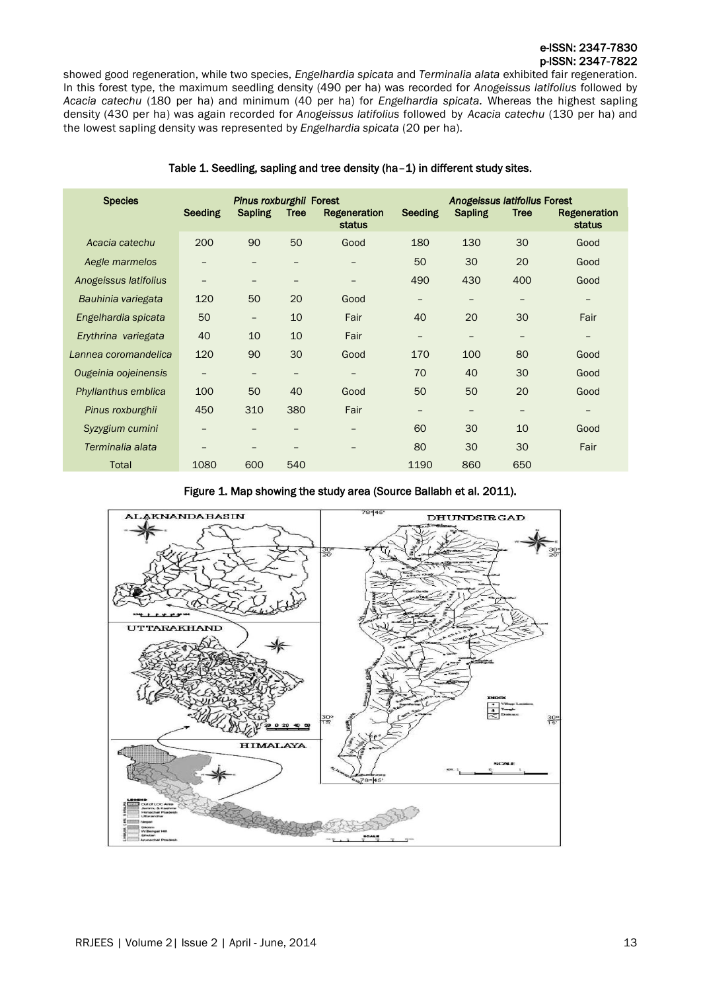showed good regeneration, while two species, *Engelhardia spicata* and *Terminalia alata* exhibited fair regeneration. In this forest type, the maximum seedling density (490 per ha) was recorded for *Anogeissus latifolius* followed by *Acacia catechu* (180 per ha) and minimum (40 per ha) for *Engelhardia spicata.* Whereas the highest sapling density (430 per ha) was again recorded for *Anogeissus latifolius* followed by *Acacia catechu* (130 per ha) and the lowest sapling density was represented by *Engelhardia spicata* (20 per ha).

| <b>Species</b>        | Pinus roxburghii Forest |                   |                   |                                      | Anogeissus latifolius Forest |                |                 |                        |
|-----------------------|-------------------------|-------------------|-------------------|--------------------------------------|------------------------------|----------------|-----------------|------------------------|
|                       | <b>Seeding</b>          | <b>Sapling</b>    | Tree              | <b>Regeneration</b><br><b>status</b> | <b>Seeding</b>               | <b>Sapling</b> | <b>Tree</b>     | Regeneration<br>status |
| Acacia catechu        | 200                     | 90                | 50                | Good                                 | 180                          | 130            | 30              | Good                   |
| Aegle marmelos        | -                       | -                 |                   | $\overline{\phantom{0}}$             | 50                           | 30             | 20              | Good                   |
| Anogeissus latifolius | -                       | -                 | $\qquad \qquad -$ | -                                    | 490                          | 430            | 400             | Good                   |
| Bauhinia variegata    | 120                     | 50                | 20                | Good                                 | -                            |                |                 | -                      |
| Engelhardia spicata   | 50                      | $\qquad \qquad -$ | 10                | Fair                                 | 40                           | 20             | 30              | Fair                   |
| Erythrina variegata   | 40                      | 10                | 10                | Fair                                 | $\qquad \qquad -$            | -              | $\qquad \qquad$ | -                      |
| Lannea coromandelica  | 120                     | 90                | 30                | Good                                 | 170                          | 100            | 80              | Good                   |
| Ougeinia oojeinensis  |                         | -                 | -                 |                                      | 70                           | 40             | 30              | Good                   |
| Phyllanthus emblica   | 100                     | 50                | 40                | Good                                 | 50                           | 50             | 20              | Good                   |
| Pinus roxburghii      | 450                     | 310               | 380               | Fair                                 | -                            | -              |                 | -                      |
| Syzygium cumini       | -                       |                   | -                 |                                      | 60                           | 30             | 10              | Good                   |
| Terminalia alata      | -                       | -                 | -                 | -                                    | 80                           | 30             | 30              | Fair                   |
| <b>Total</b>          | 1080                    | 600               | 540               |                                      | 1190                         | 860            | 650             |                        |

### Table 1. Seedling, sapling and tree density (ha–1) in different study sites.



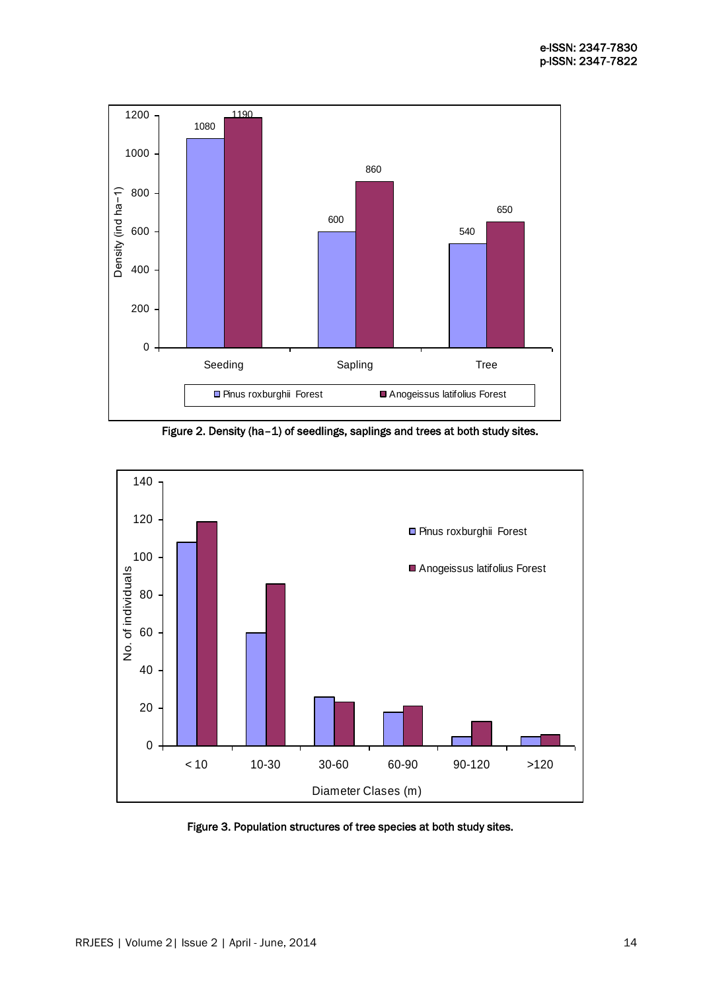

Figure 2. Density (ha–1) of seedlings, saplings and trees at both study sites.



Figure 3. Population structures of tree species at both study sites.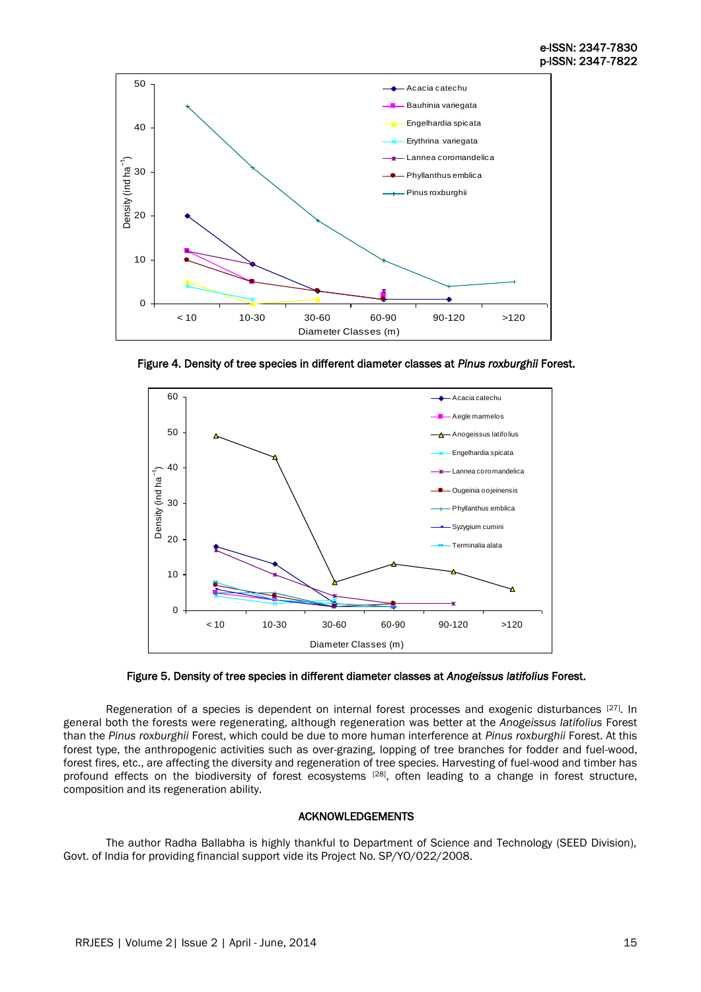

Figure 4. Density of tree species in different diameter classes at *Pinus roxburghii* Forest.





Regeneration of a species is dependent on internal forest processes and exogenic disturbances [27]. In general both the forests were regenerating, although regeneration was better at the *Anogeissus latifolius* Forest than the *Pinus roxburghii* Forest, which could be due to more human interference at *Pinus roxburghii* Forest. At this forest type, the anthropogenic activities such as over-grazing, lopping of tree branches for fodder and fuel-wood, forest fires, etc., are affecting the diversity and regeneration of tree species. Harvesting of fuel-wood and timber has profound effects on the biodiversity of forest ecosystems [28], often leading to a change in forest structure, composition and its regeneration ability.

#### ACKNOWLEDGEMENTS

The author Radha Ballabha is highly thankful to Department of Science and Technology (SEED Division), Govt. of India for providing financial support vide its Project No. SP/YO/022/2008.